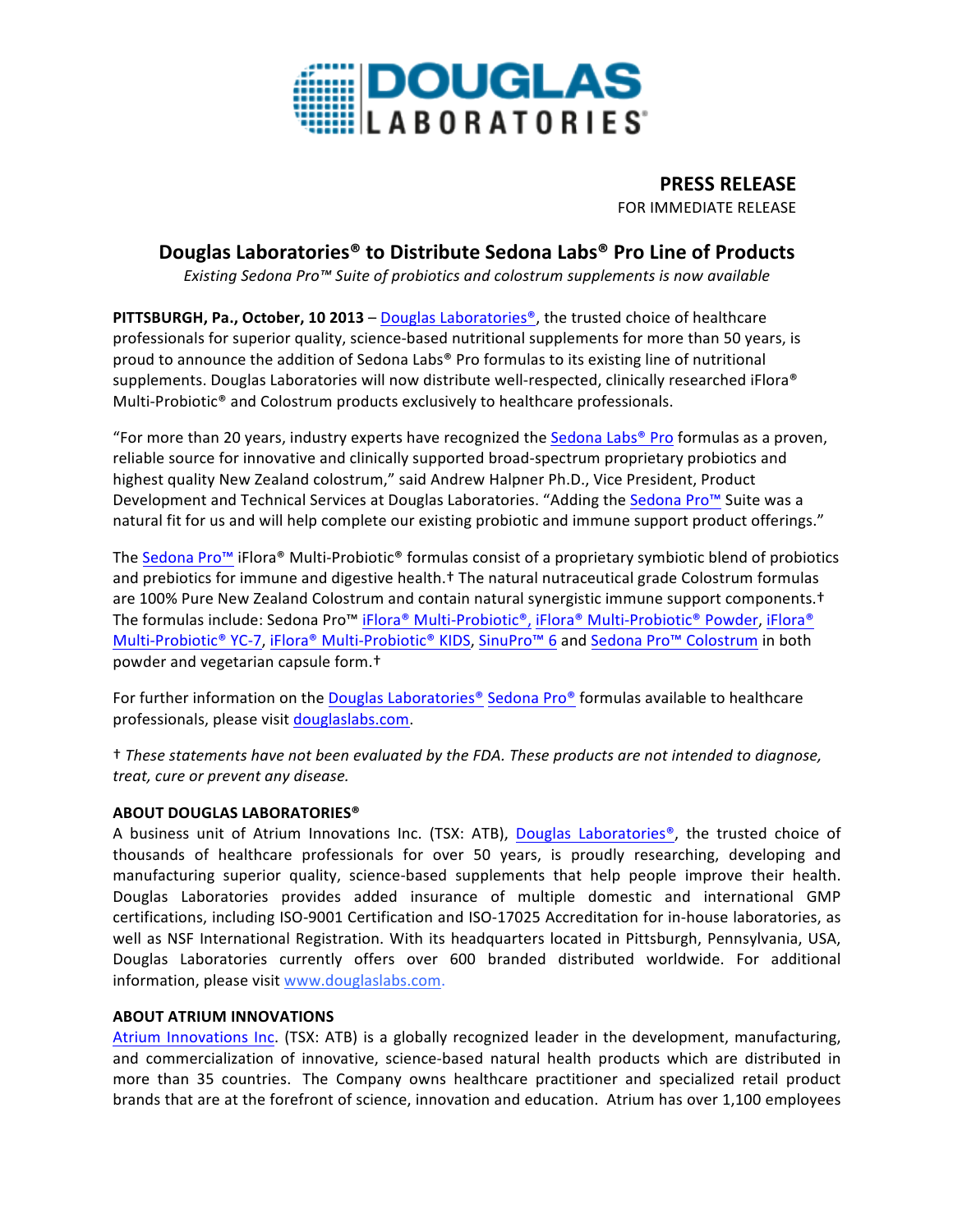

**PRESS RELEASE** FOR IMMEDIATE RELEASE

## **Douglas Laboratories® to Distribute Sedona Labs® Pro Line of Products**

**Existing** Sedona Pro™ Suite of probiotics and colostrum supplements is now available

**PITTSBURGH, Pa., October, 10 2013** – Douglas Laboratories<sup>®</sup>, the trusted choice of healthcare professionals for superior quality, science-based nutritional supplements for more than 50 years, is proud to announce the addition of Sedona Labs® Pro formulas to its existing line of nutritional supplements. Douglas Laboratories will now distribute well-respected, clinically researched iFlora® Multi-Probiotic<sup>®</sup> and Colostrum products exclusively to healthcare professionals.

"For more than 20 years, industry experts have recognized the Sedona Labs<sup>®</sup> Pro formulas as a proven, reliable source for innovative and clinically supported broad-spectrum proprietary probiotics and highest quality New Zealand colostrum," said Andrew Halpner Ph.D., Vice President, Product Development and Technical Services at Douglas Laboratories. "Adding the Sedona Pro™ Suite was a natural fit for us and will help complete our existing probiotic and immune support product offerings."

The Sedona Pro™ iFlora® Multi-Probiotic® formulas consist of a proprietary symbiotic blend of probiotics and prebiotics for immune and digestive health.<sup>†</sup> The natural nutraceutical grade Colostrum formulas are 100% Pure New Zealand Colostrum and contain natural synergistic immune support components.<sup>†</sup> The formulas include: Sedona Pro<sup>™</sup> iFlora® Multi-Probiotic®, iFlora® Multi-Probiotic® Powder, iFlora® Multi-Probiotic® YC-7, iFlora® Multi-Probiotic® KIDS, SinuPro™ 6 and Sedona Pro™ Colostrum in both powder and vegetarian capsule form.<sup>†</sup>

For further information on the Douglas Laboratories<sup>®</sup> Sedona Pro® formulas available to healthcare professionals, please visit douglaslabs.com.

† *These statements have not been evaluated by the FDA. These products are not intended to diagnose, treat, cure or prevent any disease.*

## **ABOUT DOUGLAS LABORATORIES®**

A business unit of Atrium Innovations Inc. (TSX: ATB), Douglas Laboratories®, the trusted choice of thousands of healthcare professionals for over 50 years, is proudly researching, developing and manufacturing superior quality, science-based supplements that help people improve their health. Douglas Laboratories provides added insurance of multiple domestic and international GMP certifications, including ISO-9001 Certification and ISO-17025 Accreditation for in-house laboratories, as well as NSF International Registration. With its headquarters located in Pittsburgh, Pennsylvania, USA, Douglas Laboratories currently offers over 600 branded distributed worldwide. For additional information, please visit www.douglaslabs.com.

## **ABOUT ATRIUM INNOVATIONS**

Atrium Innovations Inc. (TSX: ATB) is a globally recognized leader in the development, manufacturing, and commercialization of innovative, science-based natural health products which are distributed in more than 35 countries. The Company owns healthcare practitioner and specialized retail product brands that are at the forefront of science, innovation and education. Atrium has over 1,100 employees